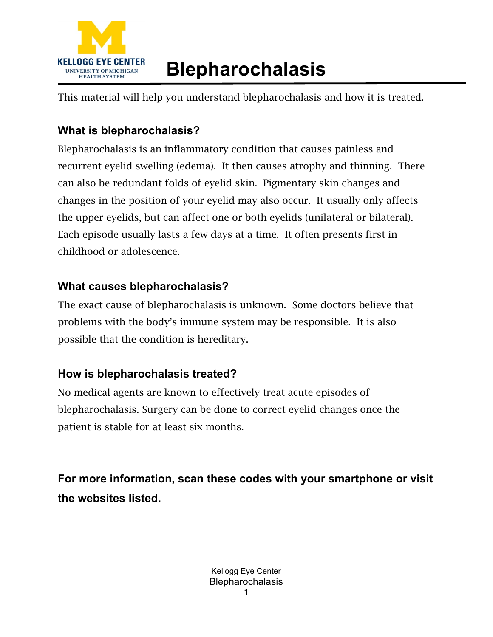

# **Blepharochalasis**

This material will help you understand blepharochalasis and how it is treated.

## **What is blepharochalasis?**

Blepharochalasis is an inflammatory condition that causes painless and recurrent eyelid swelling (edema). It then causes atrophy and thinning. There can also be redundant folds of eyelid skin. Pigmentary skin changes and changes in the position of your eyelid may also occur. It usually only affects the upper eyelids, but can affect one or both eyelids (unilateral or bilateral). Each episode usually lasts a few days at a time. It often presents first in childhood or adolescence.

### **What causes blepharochalasis?**

The exact cause of blepharochalasis is unknown. Some doctors believe that problems with the body's immune system may be responsible. It is also possible that the condition is hereditary.

### **How is blepharochalasis treated?**

No medical agents are known to effectively treat acute episodes of blepharochalasis. Surgery can be done to correct eyelid changes once the patient is stable for at least six months.

**For more information, scan these codes with your smartphone or visit the websites listed.**